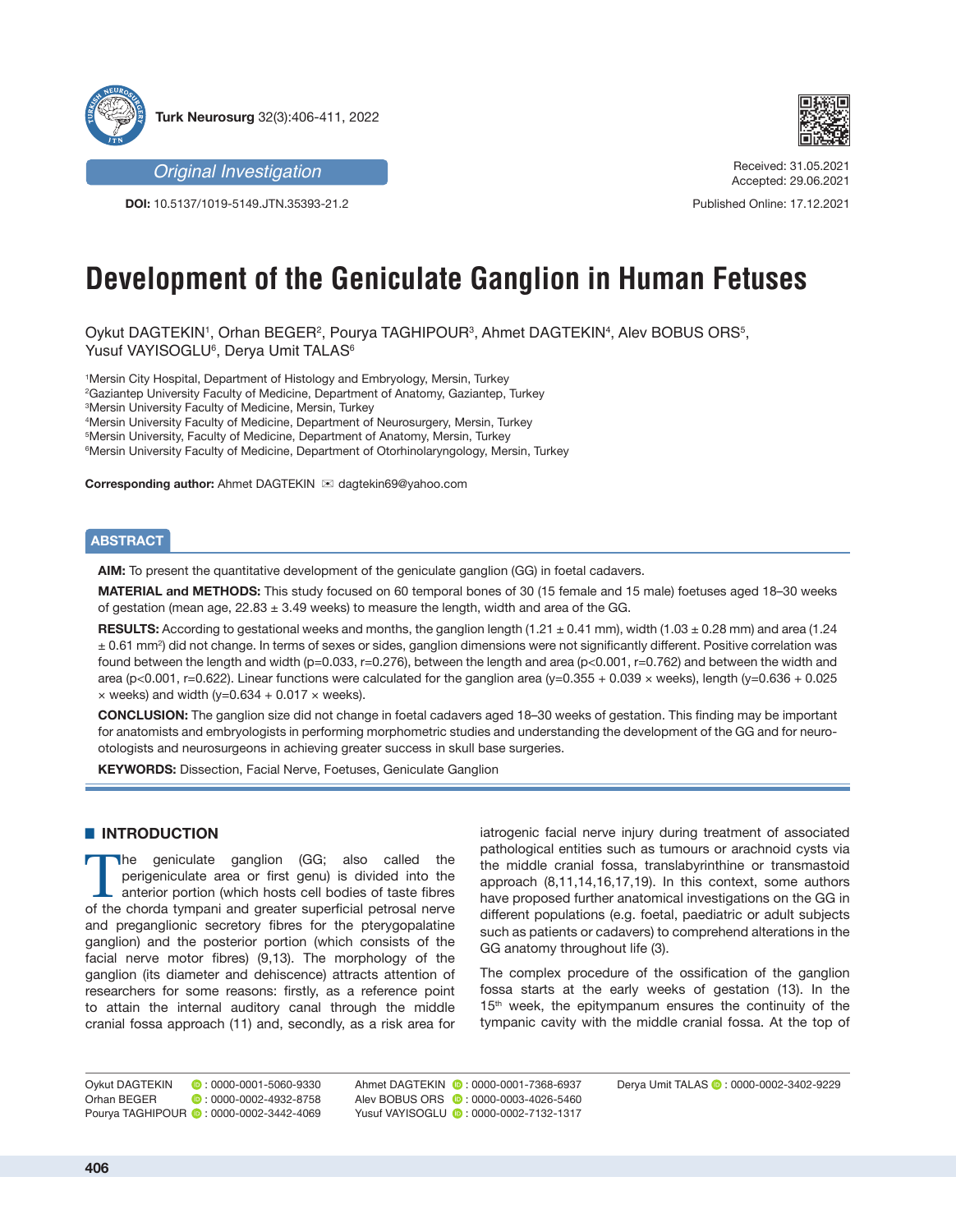

*Original Investigation*

**DOI:** 10.5137/1019-5149.JTN.35393-21.2



Received: 31.05.2021 Accepted: 29.06.2021

Published Online: 17.12.2021

# **Development of the Geniculate Ganglion in Human Fetuses**

Oykut DAGTEKIN', Orhan BEGER<sup>2</sup>, Pourya TAGHIPOUR<sup>3</sup>, Ahmet DAGTEKIN<sup>4</sup>, Alev BOBUS ORS<sup>5</sup>, Yusuf VAYISOGLU6 , Derya Umit TALAS6

 Mersin City Hospital, Department of Histology and Embryology, Mersin, Turkey Gaziantep University Faculty of Medicine, Department of Anatomy, Gaziantep, Turkey Mersin University Faculty of Medicine, Mersin, Turkey Mersin University Faculty of Medicine, Department of Neurosurgery, Mersin, Turkey Mersin University, Faculty of Medicine, Department of Anatomy, Mersin, Turkey Mersin University Faculty of Medicine, Department of Otorhinolaryngology, Mersin, Turkey

**Corresponding author:** Ahmet DAGTEKIN  $⊠$  dagtekin69@yahoo.com

## **ABSTRACT**

**AIM:** To present the quantitative development of the geniculate ganglion (GG) in foetal cadavers.

**MATERIAL and METHODS:** This study focused on 60 temporal bones of 30 (15 female and 15 male) foetuses aged 18–30 weeks of gestation (mean age,  $22.83 \pm 3.49$  weeks) to measure the length, width and area of the GG.

**RESULTS:** According to gestational weeks and months, the ganglion length (1.21 ± 0.41 mm), width (1.03 ± 0.28 mm) and area (1.24 ± 0.61 mm<sup>2</sup> ) did not change. In terms of sexes or sides, ganglion dimensions were not significantly different. Positive correlation was found between the length and width (p=0.033, r=0.276), between the length and area (p<0.001, r=0.762) and between the width and area (p<0.001, r=0.622). Linear functions were calculated for the ganglion area (y=0.355 + 0.039 × weeks), length (y=0.636 + 0.025  $\times$  weeks) and width (y=0.634 + 0.017  $\times$  weeks).

**CONCLUSION:** The ganglion size did not change in foetal cadavers aged 18–30 weeks of gestation. This finding may be important for anatomists and embryologists in performing morphometric studies and understanding the development of the GG and for neurootologists and neurosurgeons in achieving greater success in skull base surgeries.

**KEYWORDS:** Dissection, Facial Nerve, Foetuses, Geniculate Ganglion

# $\blacksquare$  **INTRODUCTION**

The geniculate ganglion (GG; also called the perigeniculate area or first genu) is divided into the anterior portion (which hosts cell bodies of taste fibres of the chorda tympani and greater superficial petrosal nerve and preganglionic secretory fibres for the pterygopalatine ganglion) and the posterior portion (which consists of the facial nerve motor fibres) (9,13). The morphology of the ganglion (its diameter and dehiscence) attracts attention of researchers for some reasons: firstly, as a reference point to attain the internal auditory canal through the middle cranial fossa approach (11) and, secondly, as a risk area for iatrogenic facial nerve injury during treatment of associated pathological entities such as tumours or arachnoid cysts via the middle cranial fossa, translabyrinthine or transmastoid approach (8,11,14,16,17,19). In this context, some authors have proposed further anatomical investigations on the GG in different populations (e.g. foetal, paediatric or adult subjects such as patients or cadavers) to comprehend alterations in the GG anatomy throughout life (3).

The complex procedure of the ossification of the ganglion fossa starts at the early weeks of gestation (13). In the 15<sup>th</sup> week, the epitympanum ensures the continuity of the tympanic cavity with the middle cranial fossa. At the top of

Orhan BEGER **:** 0000-0002-4932-8758 Pourya TAGHIPOUR **:** 0000-0002-3442-4069 Ahmet DAGTEKIN **@**: 0000-0001-7368-6937 Alev BOBUS ORS **:** 0000-0003-4026-5460 Yusuf VAYISOGLU <sup>1</sup> : 0000-0002-7132-1317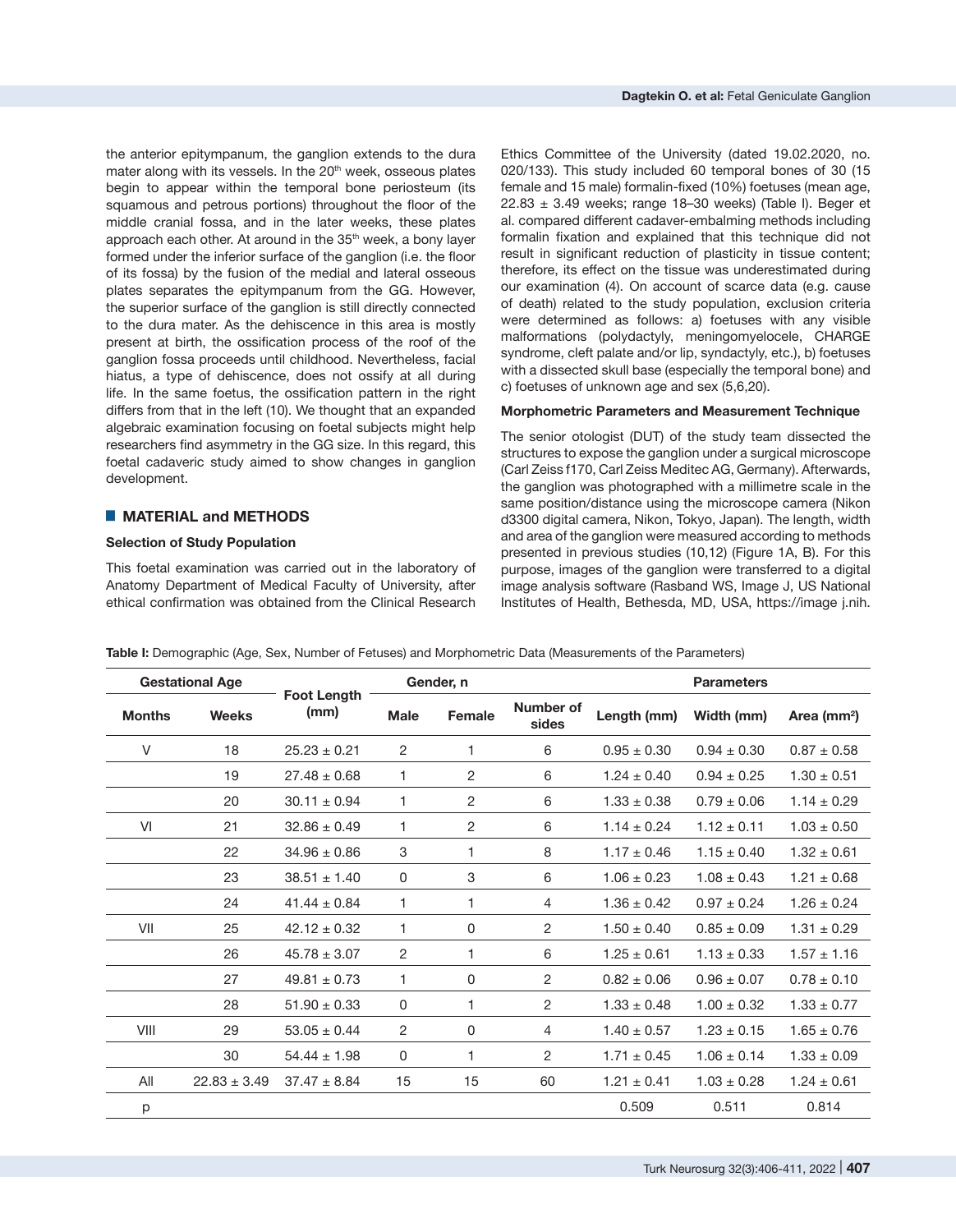the anterior epitympanum, the ganglion extends to the dura mater along with its vessels. In the 20<sup>th</sup> week, osseous plates begin to appear within the temporal bone periosteum (its squamous and petrous portions) throughout the floor of the middle cranial fossa, and in the later weeks, these plates approach each other. At around in the 35<sup>th</sup> week, a bony layer formed under the inferior surface of the ganglion (i.e. the floor of its fossa) by the fusion of the medial and lateral osseous plates separates the epitympanum from the GG. However, the superior surface of the ganglion is still directly connected to the dura mater. As the dehiscence in this area is mostly present at birth, the ossification process of the roof of the ganglion fossa proceeds until childhood. Nevertheless, facial hiatus, a type of dehiscence, does not ossify at all during life. In the same foetus, the ossification pattern in the right differs from that in the left (10). We thought that an expanded algebraic examination focusing on foetal subjects might help researchers find asymmetry in the GG size. In this regard, this foetal cadaveric study aimed to show changes in ganglion development.

## ■ **MATERIAL and METHODS**

#### **Selection of Study Population**

This foetal examination was carried out in the laboratory of Anatomy Department of Medical Faculty of University, after ethical confirmation was obtained from the Clinical Research

Ethics Committee of the University (dated 19.02.2020, no. 020/133). This study included 60 temporal bones of 30 (15 female and 15 male) formalin-fixed (10%) foetuses (mean age,  $22.83 \pm 3.49$  weeks; range 18-30 weeks) (Table I). Beger et al. compared different cadaver-embalming methods including formalin fixation and explained that this technique did not result in significant reduction of plasticity in tissue content; therefore, its effect on the tissue was underestimated during our examination (4). On account of scarce data (e.g. cause of death) related to the study population, exclusion criteria were determined as follows: a) foetuses with any visible malformations (polydactyly, meningomyelocele, CHARGE syndrome, cleft palate and/or lip, syndactyly, etc.), b) foetuses with a dissected skull base (especially the temporal bone) and c) foetuses of unknown age and sex (5,6,20).

#### **Morphometric Parameters and Measurement Technique**

The senior otologist (DUT) of the study team dissected the structures to expose the ganglion under a surgical microscope (Carl Zeiss f170, Carl Zeiss Meditec AG, Germany). Afterwards, the ganglion was photographed with a millimetre scale in the same position/distance using the microscope camera (Nikon d3300 digital camera, Nikon, Tokyo, Japan). The length, width and area of the ganglion were measured according to methods presented in previous studies (10,12) (Figure 1A, B). For this purpose, images of the ganglion were transferred to a digital image analysis software (Rasband WS, Image J, US National Institutes of Health, Bethesda, MD, USA, https://image j.nih.

| Table I: Demographic (Age, Sex, Number of Fetuses) and Morphometric Data (Measurements of the Parameters) |  |  |
|-----------------------------------------------------------------------------------------------------------|--|--|
|-----------------------------------------------------------------------------------------------------------|--|--|

|               | <b>Gestational Age</b> |                            |                | Gender, n      |                    |                 | <b>Parameters</b> |                         |
|---------------|------------------------|----------------------------|----------------|----------------|--------------------|-----------------|-------------------|-------------------------|
| <b>Months</b> | <b>Weeks</b>           | <b>Foot Length</b><br>(mm) | <b>Male</b>    | <b>Female</b>  | Number of<br>sides | Length (mm)     | Width (mm)        | Area (mm <sup>2</sup> ) |
| V             | 18                     | $25.23 \pm 0.21$           | 2              | 1              | 6                  | $0.95 \pm 0.30$ | $0.94 \pm 0.30$   | $0.87 \pm 0.58$         |
|               | 19                     | $27.48 \pm 0.68$           | 1              | 2              | 6                  | $1.24 \pm 0.40$ | $0.94 \pm 0.25$   | $1.30 \pm 0.51$         |
|               | 20                     | $30.11 \pm 0.94$           | 1              | $\overline{2}$ | 6                  | $1.33 \pm 0.38$ | $0.79 \pm 0.06$   | $1.14 \pm 0.29$         |
| VI            | 21                     | $32.86 \pm 0.49$           | 1              | $\overline{2}$ | 6                  | $1.14 \pm 0.24$ | $1.12 \pm 0.11$   | $1.03 \pm 0.50$         |
|               | 22                     | $34.96 \pm 0.86$           | 3              | 1              | 8                  | $1.17 \pm 0.46$ | $1.15 \pm 0.40$   | $1.32 \pm 0.61$         |
|               | 23                     | $38.51 \pm 1.40$           | 0              | 3              | 6                  | $1.06 \pm 0.23$ | $1.08 \pm 0.43$   | $1.21 \pm 0.68$         |
|               | 24                     | $41.44 \pm 0.84$           | 1              | 1              | $\overline{4}$     | $1.36 \pm 0.42$ | $0.97 \pm 0.24$   | $1.26 \pm 0.24$         |
| VII           | 25                     | $42.12 \pm 0.32$           | 1              | 0              | $\overline{2}$     | $1.50 \pm 0.40$ | $0.85 \pm 0.09$   | $1.31 \pm 0.29$         |
|               | 26                     | $45.78 \pm 3.07$           | 2              | 1              | 6                  | $1.25 \pm 0.61$ | $1.13 \pm 0.33$   | $1.57 \pm 1.16$         |
|               | 27                     | $49.81 \pm 0.73$           | 1.             | 0              | 2                  | $0.82 \pm 0.06$ | $0.96 \pm 0.07$   | $0.78 \pm 0.10$         |
|               | 28                     | $51.90 \pm 0.33$           | 0              | 1              | 2                  | $1.33 \pm 0.48$ | $1.00 \pm 0.32$   | $1.33 \pm 0.77$         |
| VIII          | 29                     | $53.05 \pm 0.44$           | $\overline{2}$ | 0              | $\overline{4}$     | $1.40 \pm 0.57$ | $1.23 \pm 0.15$   | $1.65 \pm 0.76$         |
|               | 30                     | $54.44 \pm 1.98$           | 0              | 1              | $\overline{2}$     | $1.71 \pm 0.45$ | $1.06 \pm 0.14$   | $1.33 \pm 0.09$         |
| All           | $22.83 \pm 3.49$       | $37.47 \pm 8.84$           | 15             | 15             | 60                 | $1.21 \pm 0.41$ | $1.03 \pm 0.28$   | $1.24 \pm 0.61$         |
| p             |                        |                            |                |                |                    | 0.509           | 0.511             | 0.814                   |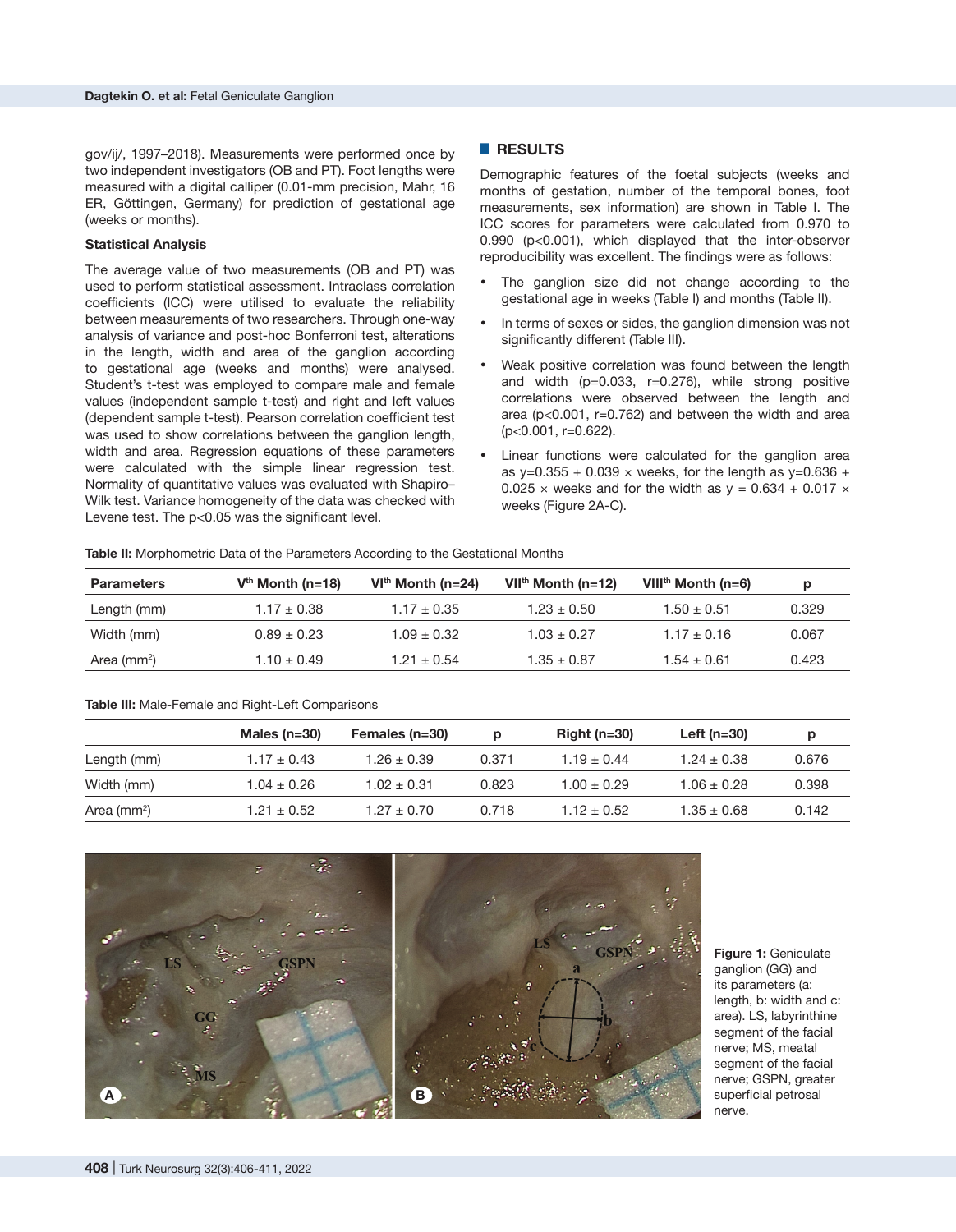gov/ij/, 1997–2018). Measurements were performed once by two independent investigators (OB and PT). Foot lengths were measured with a digital calliper (0.01-mm precision, Mahr, 16 ER, Göttingen, Germany) for prediction of gestational age (weeks or months).

### **Statistical Analysis**

The average value of two measurements (OB and PT) was used to perform statistical assessment. Intraclass correlation coefficients (ICC) were utilised to evaluate the reliability between measurements of two researchers. Through one-way analysis of variance and post-hoc Bonferroni test, alterations in the length, width and area of the ganglion according to gestational age (weeks and months) were analysed. Student's t-test was employed to compare male and female values (independent sample t-test) and right and left values (dependent sample t-test). Pearson correlation coefficient test was used to show correlations between the ganglion length, width and area. Regression equations of these parameters were calculated with the simple linear regression test. Normality of quantitative values was evaluated with Shapiro– Wilk test. Variance homogeneity of the data was checked with Levene test. The p<0.05 was the significant level.

#### █ **RESULTS**

Demographic features of the foetal subjects (weeks and months of gestation, number of the temporal bones, foot measurements, sex information) are shown in Table I. The ICC scores for parameters were calculated from 0.970 to 0.990 (p<0.001), which displayed that the inter-observer reproducibility was excellent. The findings were as follows:

- The ganglion size did not change according to the gestational age in weeks (Table I) and months (Table II).
- In terms of sexes or sides, the ganglion dimension was not significantly different (Table III).
- Weak positive correlation was found between the length and width  $(p=0.033, r=0.276)$ , while strong positive correlations were observed between the length and area (p<0.001, r=0.762) and between the width and area (p<0.001, r=0.622).
- Linear functions were calculated for the ganglion area as y=0.355 + 0.039  $\times$  weeks, for the length as y=0.636 + 0.025  $\times$  weeks and for the width as  $v = 0.634 + 0.017 \times$ weeks (Figure 2A-C).

**Table II:** Morphometric Data of the Parameters According to the Gestational Months

| <b>Parameters</b> | $Vth$ Month (n=18) | $VIth$ Month (n=24) | $VIIth$ Month (n=12) | VIII <sup>th</sup> Month (n=6) | р     |
|-------------------|--------------------|---------------------|----------------------|--------------------------------|-------|
| Length (mm)       | $1.17 \pm 0.38$    | $1.17 \pm 0.35$     | $1.23 + 0.50$        | $1.50 + 0.51$                  | 0.329 |
| Width (mm)        | $0.89 + 0.23$      | $1.09 + 0.32$       | $1.03 + 0.27$        | $1.17 + 0.16$                  | 0.067 |
| Area ( $mm2$ )    | $1.10 \pm 0.49$    | $1.21 + 0.54$       | $1.35 + 0.87$        | $1.54 + 0.61$                  | 0.423 |

#### **Table III:** Male-Female and Right-Left Comparisons

|               | Males ( $n=30$ ) | Females (n=30)  | Ŋ     | Right $(n=30)$ | Left ( $n=30$ ) |       |
|---------------|------------------|-----------------|-------|----------------|-----------------|-------|
| Length (mm)   | $1.17 \pm 0.43$  | $1.26 \pm 0.39$ | 0.371 | $1.19 + 0.44$  | $1.24 \pm 0.38$ | 0.676 |
| Width (mm)    | $1.04 \pm 0.26$  | $1.02 \pm 0.31$ | 0.823 | $1.00 + 0.29$  | $1.06 \pm 0.28$ | 0.398 |
| Area $(mm^2)$ | $1.21 \pm 0.52$  | $1.27 \pm 0.70$ | 0.718 | $1.12 + 0.52$  | $1.35 \pm 0.68$ | 0.142 |



**Figure 1:** Geniculate ganglion (GG) and its parameters (a: length, b: width and c: area). LS, labyrinthine segment of the facial nerve; MS, meatal segment of the facial nerve; GSPN, greater superficial petrosal nerve.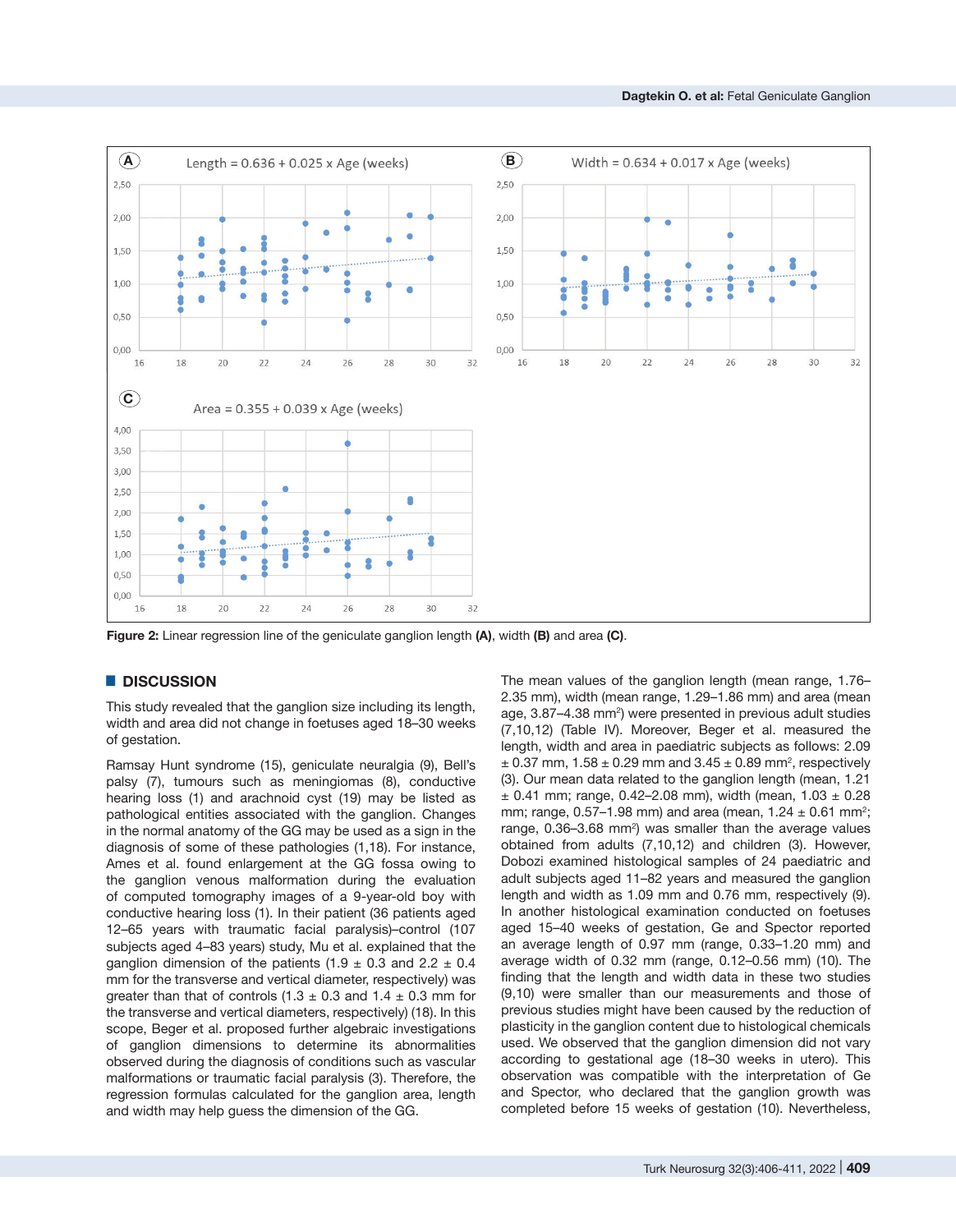

**Figure 2:** Linear regression line of the geniculate ganglion length **(A)**, width **(B)** and area **(C)**.

## █ **DISCUSSION**

This study revealed that the ganglion size including its length, width and area did not change in foetuses aged 18–30 weeks of gestation.

Ramsay Hunt syndrome (15), geniculate neuralgia (9), Bell's palsy (7), tumours such as meningiomas (8), conductive hearing loss (1) and arachnoid cyst (19) may be listed as pathological entities associated with the ganglion. Changes in the normal anatomy of the GG may be used as a sign in the diagnosis of some of these pathologies (1,18). For instance, Ames et al. found enlargement at the GG fossa owing to the ganglion venous malformation during the evaluation of computed tomography images of a 9-year-old boy with conductive hearing loss (1). In their patient (36 patients aged 12–65 years with traumatic facial paralysis)–control (107 subjects aged 4–83 years) study, Mu et al. explained that the ganglion dimension of the patients (1.9  $\pm$  0.3 and 2.2  $\pm$  0.4 mm for the transverse and vertical diameter, respectively) was greater than that of controls  $(1.3 \pm 0.3 \text{ and } 1.4 \pm 0.3 \text{ mm}$  for the transverse and vertical diameters, respectively) (18). In this scope, Beger et al. proposed further algebraic investigations of ganglion dimensions to determine its abnormalities observed during the diagnosis of conditions such as vascular malformations or traumatic facial paralysis (3). Therefore, the regression formulas calculated for the ganglion area, length and width may help guess the dimension of the GG.

The mean values of the ganglion length (mean range, 1.76– 2.35 mm), width (mean range, 1.29–1.86 mm) and area (mean age, 3.87–4.38 mm<sup>2</sup>) were presented in previous adult studies (7,10,12) (Table IV). Moreover, Beger et al. measured the length, width and area in paediatric subjects as follows: 2.09  $\pm$  0.37 mm, 1.58  $\pm$  0.29 mm and 3.45  $\pm$  0.89 mm<sup>2</sup>, respectively (3). Our mean data related to the ganglion length (mean, 1.21  $\pm$  0.41 mm; range, 0.42-2.08 mm), width (mean, 1.03  $\pm$  0.28 mm; range,  $0.57-1.98$  mm) and area (mean,  $1.24 \pm 0.61$  mm<sup>2</sup>; range, 0.36–3.68 mm<sup>2</sup>) was smaller than the average values obtained from adults (7,10,12) and children (3). However, Dobozi examined histological samples of 24 paediatric and adult subjects aged 11–82 years and measured the ganglion length and width as 1.09 mm and 0.76 mm, respectively (9). In another histological examination conducted on foetuses aged 15–40 weeks of gestation, Ge and Spector reported an average length of 0.97 mm (range, 0.33–1.20 mm) and average width of 0.32 mm (range, 0.12–0.56 mm) (10). The finding that the length and width data in these two studies (9,10) were smaller than our measurements and those of previous studies might have been caused by the reduction of plasticity in the ganglion content due to histological chemicals used. We observed that the ganglion dimension did not vary according to gestational age (18–30 weeks in utero). This observation was compatible with the interpretation of Ge and Spector, who declared that the ganglion growth was completed before 15 weeks of gestation (10). Nevertheless,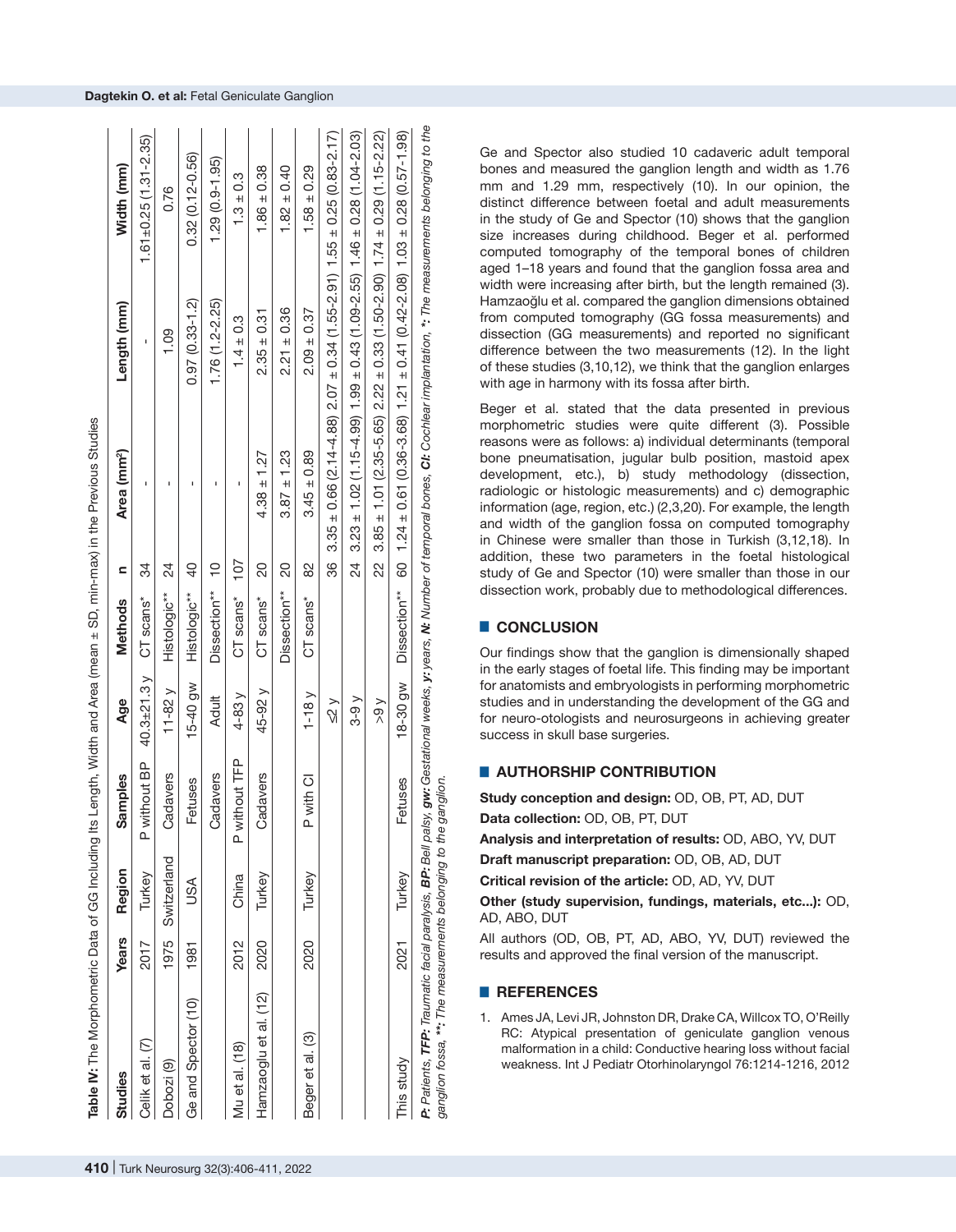| Studies                                                          | Years | Region      | Samples       | Age               | Methods      | Ξ             | Area (mm <sup>2</sup> )                                                             | Length (mm)        | Width (mm)                                                                                                                                                                                  |
|------------------------------------------------------------------|-------|-------------|---------------|-------------------|--------------|---------------|-------------------------------------------------------------------------------------|--------------------|---------------------------------------------------------------------------------------------------------------------------------------------------------------------------------------------|
| Celik et al. (7)                                                 | 2017  | Turkey      | P without BP  | 40.3 $\pm$ 21.3 y | CT scans*    | ನೆ            | I                                                                                   | ı                  | $1.61 \pm 0.25$ (1.31-2.35)                                                                                                                                                                 |
| Dobozi (9)                                                       | 1975  | Switzerland | Cadavers      | $11-82$ y         | Histologic** | 24            |                                                                                     | 1.09               | 0.76                                                                                                                                                                                        |
| Ge and Spector (10)                                              | 1981  | USA         | Fetuses       | 15-40 gw          | Histologic** | $\frac{1}{2}$ |                                                                                     | $0.97(0.33 - 1.2)$ | $0.32(0.12 - 0.56)$                                                                                                                                                                         |
|                                                                  |       |             | Cadavers      | <b>Adult</b>      | Dissection** | $\frac{1}{1}$ |                                                                                     | $1.76(1.2 - 2.25)$ | $1.29(0.9 - 1.95)$                                                                                                                                                                          |
| Mu et al. (18)                                                   | 2012  | China       | P without TFP | $4-83y$           | CT scans*    | 107           |                                                                                     | $1.4 \pm 0.3$      | $1.3 \pm 0.3$                                                                                                                                                                               |
| Hamzaoglu et al. (12)                                            | 2020  | Turkey      | Cadavers      | 45-92 y           | CT scans*    | 8             | $4.38 \pm 1.27$                                                                     | $2.35 \pm 0.31$    | $1.86 \pm 0.38$                                                                                                                                                                             |
|                                                                  |       |             |               |                   | Dissection** | 20            | $3.87 \pm 1.23$                                                                     | $2.21 \pm 0.36$    | $1.82 \pm 0.40$                                                                                                                                                                             |
| Beger et al. (3)                                                 | 2020  | Turkey      | P with CI     | $1-18v$           | CT scans*    | 8             | $3.45 \pm 0.89$                                                                     | $2.09 \pm 0.37$    | $1.58 \pm 0.29$                                                                                                                                                                             |
|                                                                  |       |             |               | $\leq$ 2 $\vee$   |              | 86            | $3.35 \pm 0.66$ (2.14-4.88) $2.07 \pm 0.34$ (1.55-2.91) 1.55 $\pm$ 0.25 (0.83-2.17) |                    |                                                                                                                                                                                             |
|                                                                  |       |             |               | $3-9y$            |              | 24            | $3.23 \pm 1.02$ (1.15-4.99) 1.99 $\pm$ 0.43 (1.09-2.55) 1.46 $\pm$ 0.28 (1.04-2.03) |                    |                                                                                                                                                                                             |
|                                                                  |       |             |               | > 9               |              | 2<br>2        | $3.85 \pm 1.01$ (2.35-5.65) $2.22 \pm 0.33$ (1.50-2.90) $1.74 \pm 0.29$ (1.15-2.22) |                    |                                                                                                                                                                                             |
| This study                                                       | 2021  | Turkey      | Fetuses       | 18-30 gw          | Dissection** |               | 60 1.24 ± 0.61 (0.36-3.68) 1.21 ± 0.41 (0.42-2.08) 1.03 ± 0.28 (0.57-1.98)          |                    |                                                                                                                                                                                             |
| ganglion fossa, ***: The measurements belonging to the ganglion. |       |             |               |                   |              |               |                                                                                     |                    | P: Patients, TFP: Traumatic facial paralysis, BP: Bell palsy, gw: Gestational weeks, y: years, N: Number of temporal bones, CI: Cochlear implantation, *: The measurements belonging to the |

Ge and Spector also studied 10 cadaveric adult temporal bones and measured the ganglion length and width as 1.76 mm and 1.29 mm, respectively (10). In our opinion, the distinct difference between foetal and adult measurements in the study of Ge and Spector (10) shows that the ganglion size increases during childhood. Beger et al. performed computed tomography of the temporal bones of children aged 1–18 years and found that the ganglion fossa area and width were increasing after birth, but the length remained (3). Hamzaoğlu et al. compared the ganglion dimensions obtained from computed tomography (GG fossa measurements) and dissection (GG measurements) and reported no significant difference between the two measurements (12). In the light of these studies (3,10,12), we think that the ganglion enlarges with age in harmony with its fossa after birth.

Beger et al. stated that the data presented in previous morphometric studies were quite different (3). Possible reasons were as follows: a) individual determinants (temporal bone pneumatisation, jugular bulb position, mastoid apex development, etc.), b) study methodology (dissection, radiologic or histologic measurements) and c) demographic information (age, region, etc.) (2,3,20). For example, the length and width of the ganglion fossa on computed tomography in Chinese were smaller than those in Turkish (3,12,18). In addition, these two parameters in the foetal histological study of Ge and Spector (10) were smaller than those in our dissection work, probably due to methodological differences.

# █ **CONCLUSION**

Our findings show that the ganglion is dimensionally shaped in the early stages of foetal life. This finding may be important for anatomists and embryologists in performing morphometric studies and in understanding the development of the GG and for neuro-otologists and neurosurgeons in achieving greater success in skull base surgeries.

# █ **AUTHORSHIP CONTRIBUTION**

**Study conception and design:** OD, OB, PT, AD, DUT **Data collection:** OD, OB, PT, DUT

**Analysis and interpretation of results:** OD, ABO, YV, DUT

**Draft manuscript preparation:** OD, OB, AD, DUT

**Critical revision of the article:** OD, AD, YV, DUT

**Other (study supervision, fundings, materials, etc...):** OD, AD, ABO, DUT

All authors (OD, OB, PT, AD, ABO, YV, DUT) reviewed the results and approved the final version of the manuscript.

## █ **REFERENCES**

1. Ames JA, Levi JR, Johnston DR, Drake CA, Willcox TO, O'Reilly RC: Atypical presentation of geniculate ganglion venous malformation in a child: Conductive hearing loss without facial weakness. Int J Pediatr Otorhinolaryngol 76:1214-1216, 2012